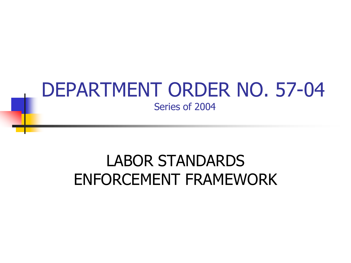#### DEPARTMENT ORDER NO. 57-04 Series of 2004

### LABOR STANDARDS ENFORCEMENT FRAMEWORK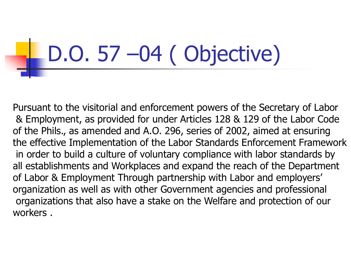### D.O. 57 –04 ( Objective)

Pursuant to the visitorial and enforcement powers of the Secretary of Labor & Employment, as provided for under Articles 128 & 129 of the Labor Code of the Phils., as amended and A.O. 296, series of 2002, aimed at ensuring the effective Implementation of the Labor Standards Enforcement Framework in order to build a culture of voluntary compliance with labor standards by all establishments and Workplaces and expand the reach of the Department of Labor & Employment Through partnership with Labor and employers' organization as well as with other Government agencies and professional organizations that also have a stake on the Welfare and protection of our workers .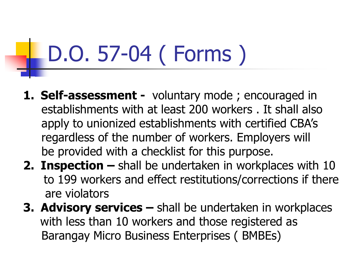### D.O. 57-04 ( Forms )

- **1. Self-assessment -** voluntary mode ; encouraged in establishments with at least 200 workers . It shall also apply to unionized establishments with certified CBA's regardless of the number of workers. Employers will be provided with a checklist for this purpose.
- **2. Inspection –** shall be undertaken in workplaces with 10 to 199 workers and effect restitutions/corrections if there are violators
- **3. Advisory services –** shall be undertaken in workplaces with less than 10 workers and those registered as Barangay Micro Business Enterprises ( BMBEs)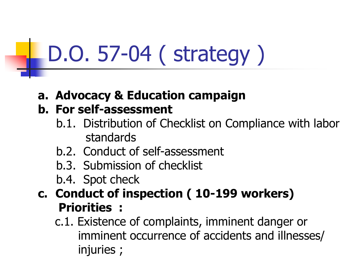## D.O. 57-04 ( strategy )

**a. Advocacy & Education campaign**

#### **b. For self-assessment**

- b.1. Distribution of Checklist on Compliance with labor standards
- b.2. Conduct of self-assessment
- b.3. Submission of checklist
- b.4. Spot check
- **c. Conduct of inspection ( 10-199 workers) Priorities :**

c.1. Existence of complaints, imminent danger or imminent occurrence of accidents and illnesses/ injuries ;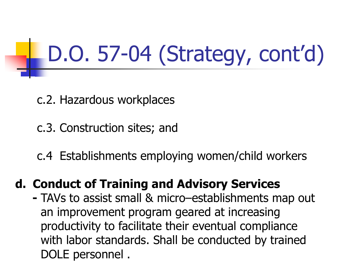D.O. 57-04 (Strategy, cont'd)

- c.2. Hazardous workplaces
- c.3. Construction sites; and
- c.4 Establishments employing women/child workers

#### **d. Conduct of Training and Advisory Services**

 **-** TAVs to assist small & micro–establishments map out an improvement program geared at increasing productivity to facilitate their eventual compliance with labor standards. Shall be conducted by trained DOLE personnel .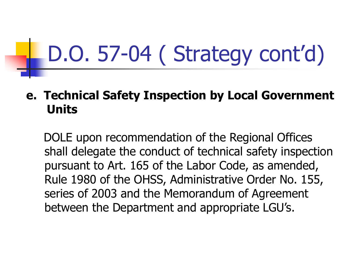### D.O. 57-04 ( Strategy cont'd)

#### **e. Technical Safety Inspection by Local Government Units**

DOLE upon recommendation of the Regional Offices shall delegate the conduct of technical safety inspection pursuant to Art. 165 of the Labor Code, as amended, Rule 1980 of the OHSS, Administrative Order No. 155, series of 2003 and the Memorandum of Agreement between the Department and appropriate LGU's.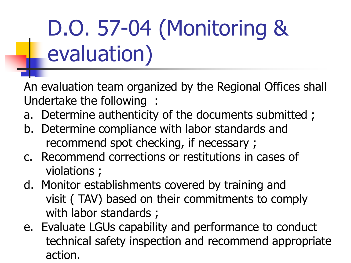### D.O. 57-04 (Monitoring & evaluation)

An evaluation team organized by the Regional Offices shall Undertake the following :

- a. Determine authenticity of the documents submitted ;
- b. Determine compliance with labor standards and recommend spot checking, if necessary ;
- c. Recommend corrections or restitutions in cases of violations ;
- d. Monitor establishments covered by training and visit ( TAV) based on their commitments to comply with labor standards;
- e. Evaluate LGUs capability and performance to conduct technical safety inspection and recommend appropriate action.